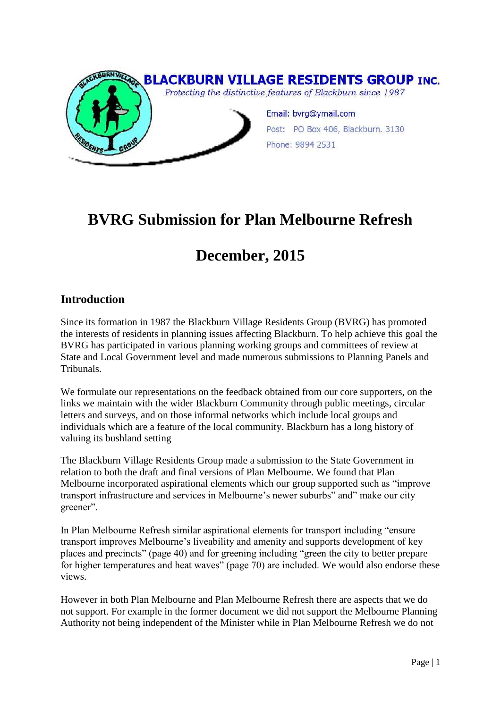

## **BVRG Submission for Plan Melbourne Refresh**

# **December, 2015**

## **Introduction**

Since its formation in 1987 the Blackburn Village Residents Group (BVRG) has promoted the interests of residents in planning issues affecting Blackburn. To help achieve this goal the BVRG has participated in various planning working groups and committees of review at State and Local Government level and made numerous submissions to Planning Panels and Tribunals.

We formulate our representations on the feedback obtained from our core supporters, on the links we maintain with the wider Blackburn Community through public meetings, circular letters and surveys, and on those informal networks which include local groups and individuals which are a feature of the local community. Blackburn has a long history of valuing its bushland setting

The Blackburn Village Residents Group made a submission to the State Government in relation to both the draft and final versions of Plan Melbourne. We found that Plan Melbourne incorporated aspirational elements which our group supported such as "improve transport infrastructure and services in Melbourne's newer suburbs" and" make our city greener".

In Plan Melbourne Refresh similar aspirational elements for transport including "ensure transport improves Melbourne's liveability and amenity and supports development of key places and precincts" (page 40) and for greening including "green the city to better prepare for higher temperatures and heat waves" (page 70) are included. We would also endorse these views.

However in both Plan Melbourne and Plan Melbourne Refresh there are aspects that we do not support. For example in the former document we did not support the Melbourne Planning Authority not being independent of the Minister while in Plan Melbourne Refresh we do not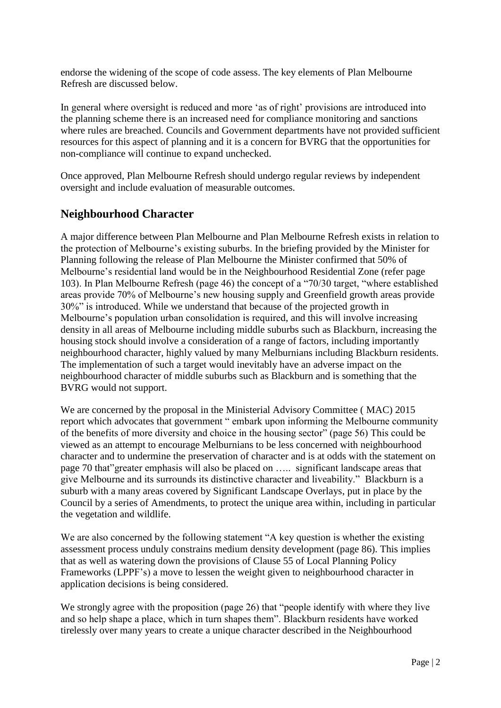endorse the widening of the scope of code assess. The key elements of Plan Melbourne Refresh are discussed below.

In general where oversight is reduced and more 'as of right' provisions are introduced into the planning scheme there is an increased need for compliance monitoring and sanctions where rules are breached. Councils and Government departments have not provided sufficient resources for this aspect of planning and it is a concern for BVRG that the opportunities for non-compliance will continue to expand unchecked.

Once approved, Plan Melbourne Refresh should undergo regular reviews by independent oversight and include evaluation of measurable outcomes.

#### **Neighbourhood Character**

A major difference between Plan Melbourne and Plan Melbourne Refresh exists in relation to the protection of Melbourne's existing suburbs. In the briefing provided by the Minister for Planning following the release of Plan Melbourne the Minister confirmed that 50% of Melbourne's residential land would be in the Neighbourhood Residential Zone (refer page 103). In Plan Melbourne Refresh (page 46) the concept of a "70/30 target, "where established areas provide 70% of Melbourne's new housing supply and Greenfield growth areas provide 30%" is introduced. While we understand that because of the projected growth in Melbourne's population urban consolidation is required, and this will involve increasing density in all areas of Melbourne including middle suburbs such as Blackburn, increasing the housing stock should involve a consideration of a range of factors, including importantly neighbourhood character, highly valued by many Melburnians including Blackburn residents. The implementation of such a target would inevitably have an adverse impact on the neighbourhood character of middle suburbs such as Blackburn and is something that the BVRG would not support.

We are concerned by the proposal in the Ministerial Advisory Committee ( MAC) 2015 report which advocates that government " embark upon informing the Melbourne community of the benefits of more diversity and choice in the housing sector" (page 56) This could be viewed as an attempt to encourage Melburnians to be less concerned with neighbourhood character and to undermine the preservation of character and is at odds with the statement on page 70 that"greater emphasis will also be placed on ….. significant landscape areas that give Melbourne and its surrounds its distinctive character and liveability." Blackburn is a suburb with a many areas covered by Significant Landscape Overlays, put in place by the Council by a series of Amendments, to protect the unique area within, including in particular the vegetation and wildlife.

We are also concerned by the following statement "A key question is whether the existing assessment process unduly constrains medium density development (page 86). This implies that as well as watering down the provisions of Clause 55 of Local Planning Policy Frameworks (LPPF's) a move to lessen the weight given to neighbourhood character in application decisions is being considered.

We strongly agree with the proposition (page 26) that "people identify with where they live and so help shape a place, which in turn shapes them". Blackburn residents have worked tirelessly over many years to create a unique character described in the Neighbourhood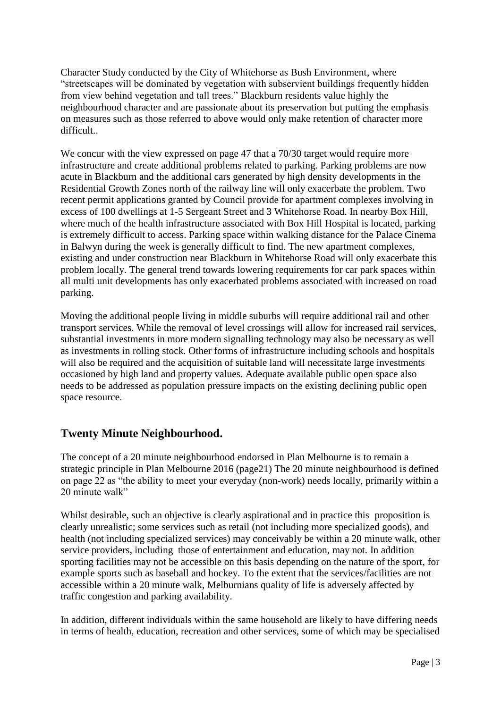Character Study conducted by the City of Whitehorse as Bush Environment, where "streetscapes will be dominated by vegetation with subservient buildings frequently hidden from view behind vegetation and tall trees." Blackburn residents value highly the neighbourhood character and are passionate about its preservation but putting the emphasis on measures such as those referred to above would only make retention of character more difficult..

We concur with the view expressed on page 47 that a 70/30 target would require more infrastructure and create additional problems related to parking. Parking problems are now acute in Blackburn and the additional cars generated by high density developments in the Residential Growth Zones north of the railway line will only exacerbate the problem. Two recent permit applications granted by Council provide for apartment complexes involving in excess of 100 dwellings at 1-5 Sergeant Street and 3 Whitehorse Road. In nearby Box Hill, where much of the health infrastructure associated with Box Hill Hospital is located, parking is extremely difficult to access. Parking space within walking distance for the Palace Cinema in Balwyn during the week is generally difficult to find. The new apartment complexes, existing and under construction near Blackburn in Whitehorse Road will only exacerbate this problem locally. The general trend towards lowering requirements for car park spaces within all multi unit developments has only exacerbated problems associated with increased on road parking.

Moving the additional people living in middle suburbs will require additional rail and other transport services. While the removal of level crossings will allow for increased rail services, substantial investments in more modern signalling technology may also be necessary as well as investments in rolling stock. Other forms of infrastructure including schools and hospitals will also be required and the acquisition of suitable land will necessitate large investments occasioned by high land and property values. Adequate available public open space also needs to be addressed as population pressure impacts on the existing declining public open space resource.

## **Twenty Minute Neighbourhood.**

The concept of a 20 minute neighbourhood endorsed in Plan Melbourne is to remain a strategic principle in Plan Melbourne 2016 (page21) The 20 minute neighbourhood is defined on page 22 as "the ability to meet your everyday (non-work) needs locally, primarily within a 20 minute walk"

Whilst desirable, such an objective is clearly aspirational and in practice this proposition is clearly unrealistic; some services such as retail (not including more specialized goods), and health (not including specialized services) may conceivably be within a 20 minute walk, other service providers, including those of entertainment and education, may not. In addition sporting facilities may not be accessible on this basis depending on the nature of the sport, for example sports such as baseball and hockey. To the extent that the services/facilities are not accessible within a 20 minute walk, Melburnians quality of life is adversely affected by traffic congestion and parking availability.

In addition, different individuals within the same household are likely to have differing needs in terms of health, education, recreation and other services, some of which may be specialised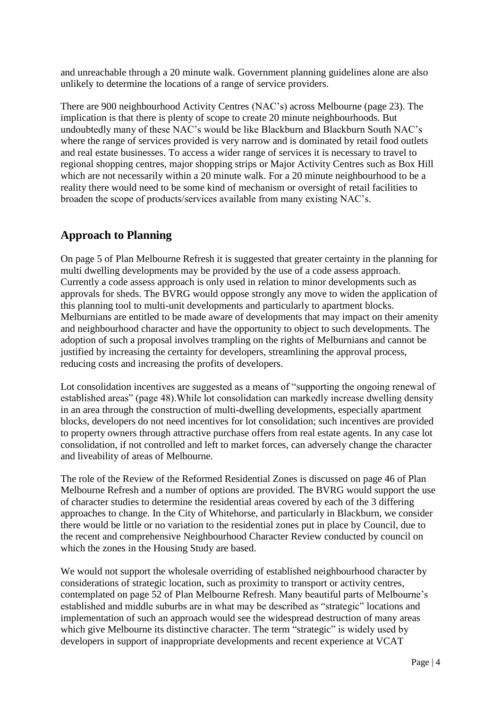and unreachable through a 20 minute walk. Government planning guidelines alone are also unlikely to determine the locations of a range of service providers.

There are 900 neighbourhood Activity Centres (NAC's) across Melbourne (page 23). The implication is that there is plenty of scope to create 20 minute neighbourhoods. But undoubtedly many of these NAC's would be like Blackburn and Blackburn South NAC's where the range of services provided is very narrow and is dominated by retail food outlets and real estate businesses. To access a wider range of services it is necessary to travel to regional shopping centres, major shopping strips or Major Activity Centres such as Box Hill which are not necessarily within a 20 minute walk. For a 20 minute neighbourhood to be a reality there would need to be some kind of mechanism or oversight of retail facilities to broaden the scope of products/services available from many existing NAC's.

## **Approach to Planning**

On page 5 of Plan Melbourne Refresh it is suggested that greater certainty in the planning for multi dwelling developments may be provided by the use of a code assess approach. Currently a code assess approach is only used in relation to minor developments such as approvals for sheds. The BVRG would oppose strongly any move to widen the application of this planning tool to multi-unit developments and particularly to apartment blocks. Melburnians are entitled to be made aware of developments that may impact on their amenity and neighbourhood character and have the opportunity to object to such developments. The adoption of such a proposal involves trampling on the rights of Melburnians and cannot be justified by increasing the certainty for developers, streamlining the approval process, reducing costs and increasing the profits of developers.

Lot consolidation incentives are suggested as a means of "supporting the ongoing renewal of established areas" (page 48).While lot consolidation can markedly increase dwelling density in an area through the construction of multi-dwelling developments, especially apartment blocks, developers do not need incentives for lot consolidation; such incentives are provided to property owners through attractive purchase offers from real estate agents. In any case lot consolidation, if not controlled and left to market forces, can adversely change the character and liveability of areas of Melbourne.

The role of the Review of the Reformed Residential Zones is discussed on page 46 of Plan Melbourne Refresh and a number of options are provided. The BVRG would support the use of character studies to determine the residential areas covered by each of the 3 differing approaches to change. In the City of Whitehorse, and particularly in Blackburn, we consider there would be little or no variation to the residential zones put in place by Council, due to the recent and comprehensive Neighbourhood Character Review conducted by council on which the zones in the Housing Study are based.

We would not support the wholesale overriding of established neighbourhood character by considerations of strategic location, such as proximity to transport or activity centres, contemplated on page 52 of Plan Melbourne Refresh. Many beautiful parts of Melbourne's established and middle suburbs are in what may be described as "strategic" locations and implementation of such an approach would see the widespread destruction of many areas which give Melbourne its distinctive character. The term "strategic" is widely used by developers in support of inappropriate developments and recent experience at VCAT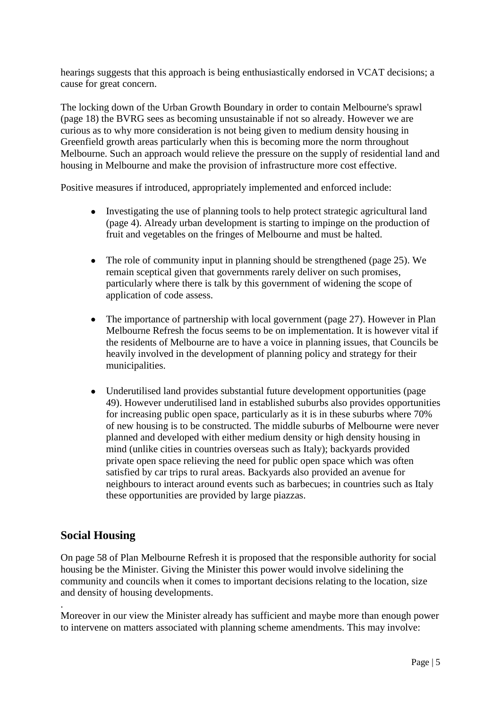hearings suggests that this approach is being enthusiastically endorsed in VCAT decisions; a cause for great concern.

The locking down of the Urban Growth Boundary in order to contain Melbourne's sprawl (page 18) the BVRG sees as becoming unsustainable if not so already. However we are curious as to why more consideration is not being given to medium density housing in Greenfield growth areas particularly when this is becoming more the norm throughout Melbourne. Such an approach would relieve the pressure on the supply of residential land and housing in Melbourne and make the provision of infrastructure more cost effective.

Positive measures if introduced, appropriately implemented and enforced include:

- Investigating the use of planning tools to help protect strategic agricultural land (page 4). Already urban development is starting to impinge on the production of fruit and vegetables on the fringes of Melbourne and must be halted.
- The role of community input in planning should be strengthened (page 25). We remain sceptical given that governments rarely deliver on such promises, particularly where there is talk by this government of widening the scope of application of code assess.
- The importance of partnership with local government (page 27). However in Plan Melbourne Refresh the focus seems to be on implementation. It is however vital if the residents of Melbourne are to have a voice in planning issues, that Councils be heavily involved in the development of planning policy and strategy for their municipalities.
- Underutilised land provides substantial future development opportunities (page 49). However underutilised land in established suburbs also provides opportunities for increasing public open space, particularly as it is in these suburbs where 70% of new housing is to be constructed. The middle suburbs of Melbourne were never planned and developed with either medium density or high density housing in mind (unlike cities in countries overseas such as Italy); backyards provided private open space relieving the need for public open space which was often satisfied by car trips to rural areas. Backyards also provided an avenue for neighbours to interact around events such as barbecues; in countries such as Italy these opportunities are provided by large piazzas.

#### **Social Housing**

.

On page 58 of Plan Melbourne Refresh it is proposed that the responsible authority for social housing be the Minister. Giving the Minister this power would involve sidelining the community and councils when it comes to important decisions relating to the location, size and density of housing developments.

Moreover in our view the Minister already has sufficient and maybe more than enough power to intervene on matters associated with planning scheme amendments. This may involve: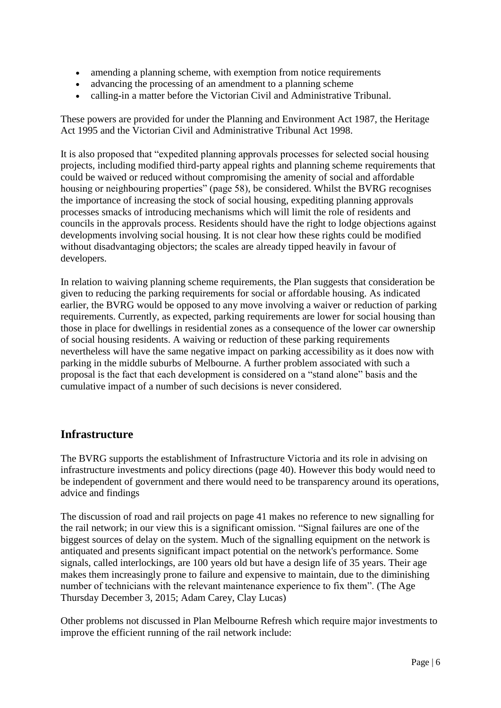- amending a planning scheme, with exemption from notice requirements
- advancing the processing of an amendment to a planning scheme
- calling-in a matter before the Victorian Civil and Administrative Tribunal.

These powers are provided for under the Planning and Environment Act 1987, the Heritage Act 1995 and the Victorian Civil and Administrative Tribunal Act 1998.

It is also proposed that "expedited planning approvals processes for selected social housing projects, including modified third-party appeal rights and planning scheme requirements that could be waived or reduced without compromising the amenity of social and affordable housing or neighbouring properties" (page 58), be considered. Whilst the BVRG recognises the importance of increasing the stock of social housing, expediting planning approvals processes smacks of introducing mechanisms which will limit the role of residents and councils in the approvals process. Residents should have the right to lodge objections against developments involving social housing. It is not clear how these rights could be modified without disadvantaging objectors; the scales are already tipped heavily in favour of developers.

In relation to waiving planning scheme requirements, the Plan suggests that consideration be given to reducing the parking requirements for social or affordable housing. As indicated earlier, the BVRG would be opposed to any move involving a waiver or reduction of parking requirements. Currently, as expected, parking requirements are lower for social housing than those in place for dwellings in residential zones as a consequence of the lower car ownership of social housing residents. A waiving or reduction of these parking requirements nevertheless will have the same negative impact on parking accessibility as it does now with parking in the middle suburbs of Melbourne. A further problem associated with such a proposal is the fact that each development is considered on a "stand alone" basis and the cumulative impact of a number of such decisions is never considered.

## **Infrastructure**

The BVRG supports the establishment of Infrastructure Victoria and its role in advising on infrastructure investments and policy directions (page 40). However this body would need to be independent of government and there would need to be transparency around its operations, advice and findings

The discussion of road and rail projects on page 41 makes no reference to new signalling for the rail network; in our view this is a significant omission. "Signal failures are one of the biggest sources of delay on the system. Much of the signalling equipment on the network is antiquated and presents significant impact potential on the network's performance. Some signals, called interlockings, are 100 years old but have a design life of 35 years. Their age makes them increasingly prone to failure and expensive to maintain, due to the diminishing number of technicians with the relevant maintenance experience to fix them". (The Age Thursday December 3, 2015; Adam Carey, Clay Lucas)

Other problems not discussed in Plan Melbourne Refresh which require major investments to improve the efficient running of the rail network include: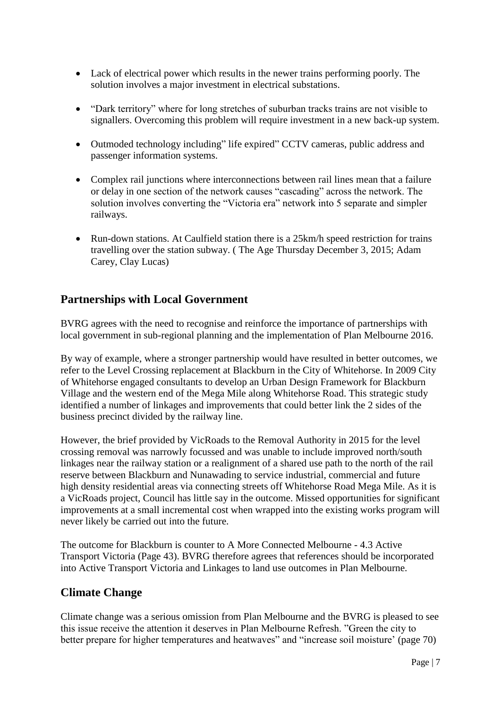- Lack of electrical power which results in the newer trains performing poorly. The solution involves a major investment in electrical substations.
- "Dark territory" where for long stretches of suburban tracks trains are not visible to signallers. Overcoming this problem will require investment in a new back-up system.
- Outmoded technology including" life expired" CCTV cameras, public address and passenger information systems.
- Complex rail junctions where interconnections between rail lines mean that a failure or delay in one section of the network causes "cascading" across the network. The solution involves converting the "Victoria era" network into 5 separate and simpler railways.
- Run-down stations. At Caulfield station there is a 25km/h speed restriction for trains travelling over the station subway. ( The Age Thursday December 3, 2015; Adam Carey, Clay Lucas)

## **Partnerships with Local Government**

BVRG agrees with the need to recognise and reinforce the importance of partnerships with local government in sub-regional planning and the implementation of Plan Melbourne 2016.

By way of example, where a stronger partnership would have resulted in better outcomes, we refer to the Level Crossing replacement at Blackburn in the City of Whitehorse. In 2009 City of Whitehorse engaged consultants to develop an Urban Design Framework for Blackburn Village and the western end of the Mega Mile along Whitehorse Road. This strategic study identified a number of linkages and improvements that could better link the 2 sides of the business precinct divided by the railway line.

However, the brief provided by VicRoads to the Removal Authority in 2015 for the level crossing removal was narrowly focussed and was unable to include improved north/south linkages near the railway station or a realignment of a shared use path to the north of the rail reserve between Blackburn and Nunawading to service industrial, commercial and future high density residential areas via connecting streets off Whitehorse Road Mega Mile. As it is a VicRoads project, Council has little say in the outcome. Missed opportunities for significant improvements at a small incremental cost when wrapped into the existing works program will never likely be carried out into the future.

The outcome for Blackburn is counter to A More Connected Melbourne - 4.3 Active Transport Victoria (Page 43). BVRG therefore agrees that references should be incorporated into Active Transport Victoria and Linkages to land use outcomes in Plan Melbourne.

#### **Climate Change**

Climate change was a serious omission from Plan Melbourne and the BVRG is pleased to see this issue receive the attention it deserves in Plan Melbourne Refresh. "Green the city to better prepare for higher temperatures and heatwaves" and "increase soil moisture' (page 70)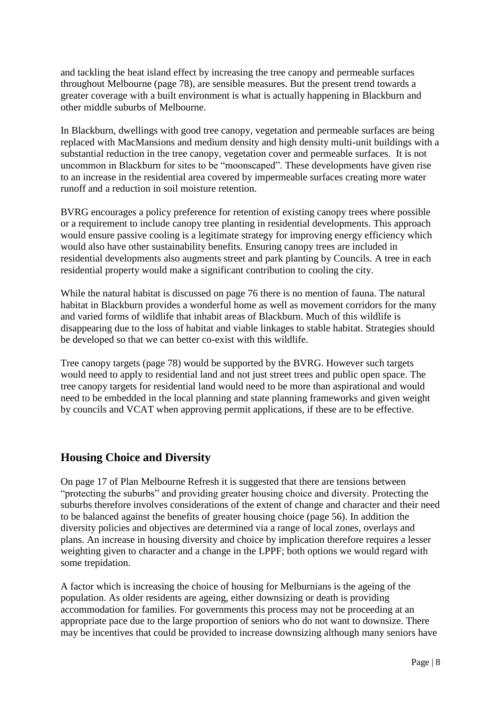and tackling the heat island effect by increasing the tree canopy and permeable surfaces throughout Melbourne (page 78), are sensible measures. But the present trend towards a greater coverage with a built environment is what is actually happening in Blackburn and other middle suburbs of Melbourne.

In Blackburn, dwellings with good tree canopy, vegetation and permeable surfaces are being replaced with MacMansions and medium density and high density multi-unit buildings with a substantial reduction in the tree canopy, vegetation cover and permeable surfaces. It is not uncommon in Blackburn for sites to be "moonscaped". These developments have given rise to an increase in the residential area covered by impermeable surfaces creating more water runoff and a reduction in soil moisture retention.

BVRG encourages a policy preference for retention of existing canopy trees where possible or a requirement to include canopy tree planting in residential developments. This approach would ensure passive cooling is a legitimate strategy for improving energy efficiency which would also have other sustainability benefits. Ensuring canopy trees are included in residential developments also augments street and park planting by Councils. A tree in each residential property would make a significant contribution to cooling the city.

While the natural habitat is discussed on page 76 there is no mention of fauna. The natural habitat in Blackburn provides a wonderful home as well as movement corridors for the many and varied forms of wildlife that inhabit areas of Blackburn. Much of this wildlife is disappearing due to the loss of habitat and viable linkages to stable habitat. Strategies should be developed so that we can better co-exist with this wildlife.

Tree canopy targets (page 78) would be supported by the BVRG. However such targets would need to apply to residential land and not just street trees and public open space. The tree canopy targets for residential land would need to be more than aspirational and would need to be embedded in the local planning and state planning frameworks and given weight by councils and VCAT when approving permit applications, if these are to be effective.

## **Housing Choice and Diversity**

On page 17 of Plan Melbourne Refresh it is suggested that there are tensions between "protecting the suburbs" and providing greater housing choice and diversity. Protecting the suburbs therefore involves considerations of the extent of change and character and their need to be balanced against the benefits of greater housing choice (page 56). In addition the diversity policies and objectives are determined via a range of local zones, overlays and plans. An increase in housing diversity and choice by implication therefore requires a lesser weighting given to character and a change in the LPPF; both options we would regard with some trepidation.

A factor which is increasing the choice of housing for Melburnians is the ageing of the population. As older residents are ageing, either downsizing or death is providing accommodation for families. For governments this process may not be proceeding at an appropriate pace due to the large proportion of seniors who do not want to downsize. There may be incentives that could be provided to increase downsizing although many seniors have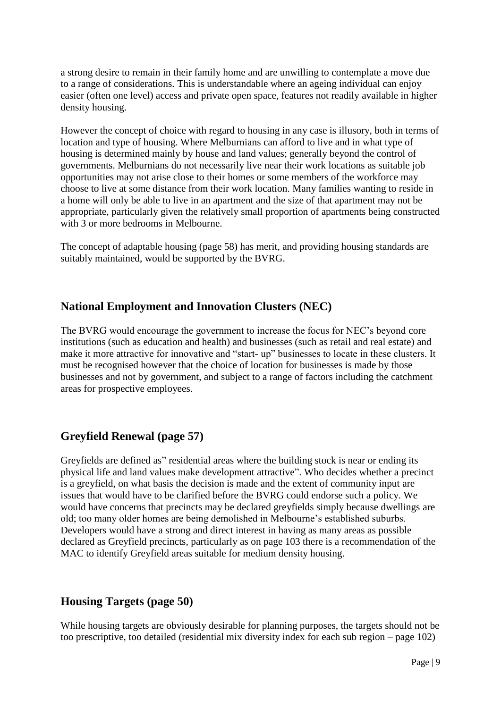a strong desire to remain in their family home and are unwilling to contemplate a move due to a range of considerations. This is understandable where an ageing individual can enjoy easier (often one level) access and private open space, features not readily available in higher density housing.

However the concept of choice with regard to housing in any case is illusory, both in terms of location and type of housing. Where Melburnians can afford to live and in what type of housing is determined mainly by house and land values; generally beyond the control of governments. Melburnians do not necessarily live near their work locations as suitable job opportunities may not arise close to their homes or some members of the workforce may choose to live at some distance from their work location. Many families wanting to reside in a home will only be able to live in an apartment and the size of that apartment may not be appropriate, particularly given the relatively small proportion of apartments being constructed with 3 or more bedrooms in Melbourne.

The concept of adaptable housing (page 58) has merit, and providing housing standards are suitably maintained, would be supported by the BVRG.

## **National Employment and Innovation Clusters (NEC)**

The BVRG would encourage the government to increase the focus for NEC's beyond core institutions (such as education and health) and businesses (such as retail and real estate) and make it more attractive for innovative and "start- up" businesses to locate in these clusters. It must be recognised however that the choice of location for businesses is made by those businesses and not by government, and subject to a range of factors including the catchment areas for prospective employees.

## **Greyfield Renewal (page 57)**

Greyfields are defined as" residential areas where the building stock is near or ending its physical life and land values make development attractive". Who decides whether a precinct is a greyfield, on what basis the decision is made and the extent of community input are issues that would have to be clarified before the BVRG could endorse such a policy. We would have concerns that precincts may be declared greyfields simply because dwellings are old; too many older homes are being demolished in Melbourne's established suburbs. Developers would have a strong and direct interest in having as many areas as possible declared as Greyfield precincts, particularly as on page 103 there is a recommendation of the MAC to identify Greyfield areas suitable for medium density housing.

## **Housing Targets (page 50)**

While housing targets are obviously desirable for planning purposes, the targets should not be too prescriptive, too detailed (residential mix diversity index for each sub region – page 102)